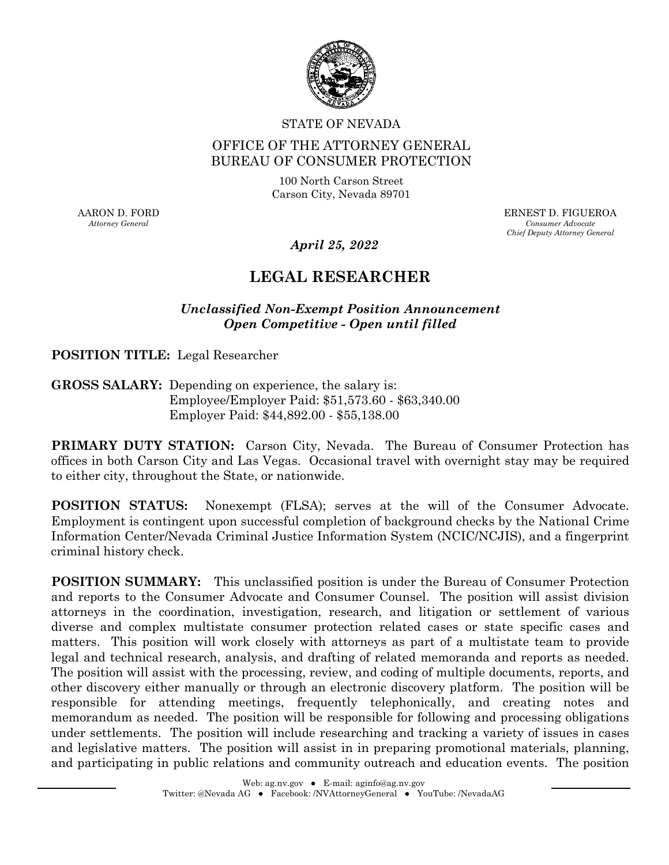

#### STATE OF NEVADA

### OFFICE OF THE ATTORNEY GENERAL BUREAU OF CONSUMER PROTECTION

100 North Carson Street Carson City, Nevada 89701

AARON D. FORD *Attorney General* 

ERNEST D. FIGUEROA *Consumer Advocate Chief Deputy Attorney General* 

*April 25, 2022* 

# **LEGAL RESEARCHER**

### *Unclassified Non-Exempt Position Announcement Open Competitive - Open until filled*

**POSITION TITLE:** Legal Researcher

**GROSS SALARY:** Depending on experience, the salary is: Employee/Employer Paid: [\\$51,573.60](https://51,573.60) - \$[63,340.00](https://63,340.00) Employer Paid: \$[44,892.00](https://44,892.00) - [\\$55,138.00](https://55,138.00) 

**PRIMARY DUTY STATION:** Carson City, Nevada. The Bureau of Consumer Protection has offices in both Carson City and Las Vegas. Occasional travel with overnight stay may be required to either city, throughout the State, or nationwide.

**POSITION STATUS:** Nonexempt (FLSA); serves at the will of the Consumer Advocate. Employment is contingent upon successful completion of background checks by the National Crime Information Center/Nevada Criminal Justice Information System (NCIC/NCJIS), and a fingerprint criminal history check.

**POSITION SUMMARY:** This unclassified position is under the Bureau of Consumer Protection and reports to the Consumer Advocate and Consumer Counsel. The position will assist division attorneys in the coordination, investigation, research, and litigation or settlement of various diverse and complex multistate consumer protection related cases or state specific cases and matters. This position will work closely with attorneys as part of a multistate team to provide legal and technical research, analysis, and drafting of related memoranda and reports as needed. The position will assist with the processing, review, and coding of multiple documents, reports, and other discovery either manually or through an electronic discovery platform. The position will be responsible for attending meetings, frequently telephonically, and creating notes and memorandum as needed. The position will be responsible for following and processing obligations under settlements. The position will include researching and tracking a variety of issues in cases and legislative matters. The position will assist in in preparing promotional materials, planning, and participating in public relations and community outreach and education events. The position